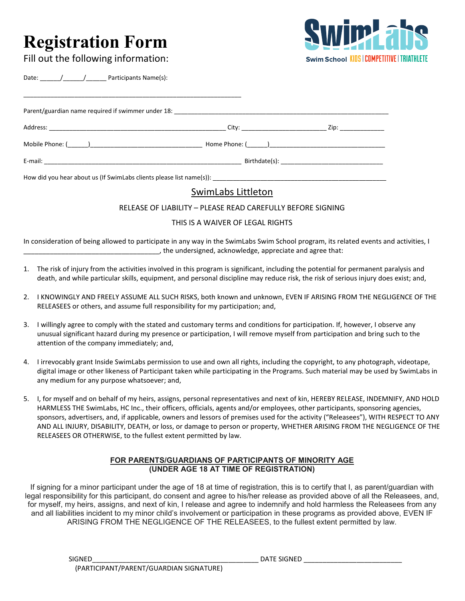# **Registration Form**



Fill out the following information:

Date:  $\frac{1}{\sqrt{2\pi}}$  / Participants Name(s):

| Birthdate(s): |  |
|---------------|--|

# SwimLabs Littleton

RELEASE OF LIABILITY – PLEASE READ CAREFULLY BEFORE SIGNING

## THIS IS A WAIVER OF LEGAL RIGHTS

In consideration of being allowed to participate in any way in the SwimLabs Swim School program, its related events and activities, I \_\_\_\_\_\_\_\_\_\_\_\_\_\_\_\_\_\_\_\_\_\_\_\_\_\_\_\_\_\_\_\_\_\_\_\_, the undersigned, acknowledge, appreciate and agree that:

- 1. The risk of injury from the activities involved in this program is significant, including the potential for permanent paralysis and death, and while particular skills, equipment, and personal discipline may reduce risk, the risk of serious injury does exist; and,
- 2. I KNOWINGLY AND FREELY ASSUME ALL SUCH RISKS, both known and unknown, EVEN IF ARISING FROM THE NEGLIGENCE OF THE RELEASEES or others, and assume full responsibility for my participation; and,
- 3. I willingly agree to comply with the stated and customary terms and conditions for participation. If, however, I observe any unusual significant hazard during my presence or participation, I will remove myself from participation and bring such to the attention of the company immediately; and,
- 4. I irrevocably grant Inside SwimLabs permission to use and own all rights, including the copyright, to any photograph, videotape, digital image or other likeness of Participant taken while participating in the Programs. Such material may be used by SwimLabs in any medium for any purpose whatsoever; and,
- 5. I, for myself and on behalf of my heirs, assigns, personal representatives and next of kin, HEREBY RELEASE, INDEMNIFY, AND HOLD HARMLESS THE SwimLabs, HC Inc., their officers, officials, agents and/or employees, other participants, sponsoring agencies, sponsors, advertisers, and, if applicable, owners and lessors of premises used for the activity ("Releasees"), WITH RESPECT TO ANY AND ALL INJURY, DISABILITY, DEATH, or loss, or damage to person or property, WHETHER ARISING FROM THE NEGLIGENCE OF THE RELEASEES OR OTHERWISE, to the fullest extent permitted by law.

### **FOR PARENTS/GUARDIANS OF PARTICIPANTS OF MINORITY AGE (UNDER AGE 18 AT TIME OF REGISTRATION)**

If signing for a minor participant under the age of 18 at time of registration, this is to certify that I, as parent/guardian with legal responsibility for this participant, do consent and agree to his/her release as provided above of all the Releasees, and, for myself, my heirs, assigns, and next of kin, I release and agree to indemnify and hold harmless the Releasees from any and all liabilities incident to my minor child's involvement or participation in these programs as provided above, EVEN IF ARISING FROM THE NEGLIGENCE OF THE RELEASEES, to the fullest extent permitted by law.

SIGNED\_\_\_\_\_\_\_\_\_\_\_\_\_\_\_\_\_\_\_\_\_\_\_\_\_\_\_\_\_\_\_\_\_\_\_\_\_\_\_\_\_\_\_\_ DATE SIGNED \_\_\_\_\_\_\_\_\_\_\_\_\_\_\_\_\_\_\_\_\_\_\_\_\_\_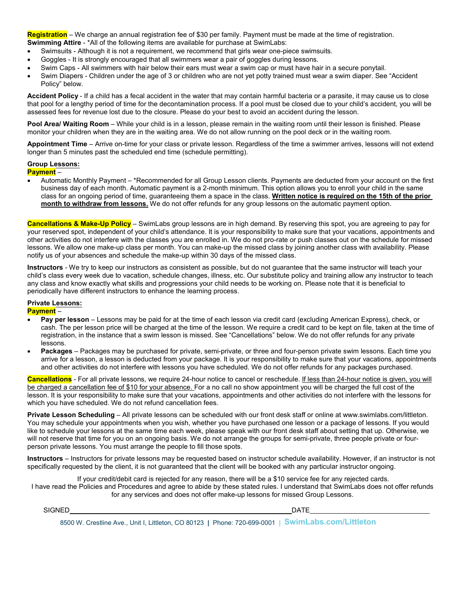**Registration** – We charge an annual registration fee of \$30 per family. Payment must be made at the time of registration. **Swimming Attire - \*All of the following items are available for purchase at SwimLabs:** 

- Swimsuits Although it is not a requirement, we recommend that girls wear one-piece swimsuits.
- Goggles It is strongly encouraged that all swimmers wear a pair of goggles during lessons.
- Swim Caps All swimmers with hair below their ears must wear a swim cap or must have hair in a secure ponytail.
- Swim Diapers Children under the age of 3 or children who are not yet potty trained must wear a swim diaper. See "Accident Policy" below.

**Accident Policy** - If a child has a fecal accident in the water that may contain harmful bacteria or a parasite, it may cause us to close that pool for a lengthy period of time for the decontamination process. If a pool must be closed due to your child's accident, you will be assessed fees for revenue lost due to the closure. Please do your best to avoid an accident during the lesson.

**Pool Area/ Waiting Room** – While your child is in a lesson, please remain in the waiting room until their lesson is finished. Please monitor your children when they are in the waiting area. We do not allow running on the pool deck or in the waiting room.

**Appointment Time** – Arrive on-time for your class or private lesson. Regardless of the time a swimmer arrives, lessons will not extend longer than 5 minutes past the scheduled end time (schedule permitting).

#### **Group Lessons:**

**Payment** –

• Automatic Monthly Payment – \*Recommended for all Group Lesson clients. Payments are deducted from your account on the first business day of each month. Automatic payment is a 2-month minimum. This option allows you to enroll your child in the same class for an ongoing period of time, guaranteeing them a space in the class. **Written notice is required on the 15th of the prior month to withdraw from lessons.** We do not offer refunds for any group lessons on the automatic payment option.

**Cancellations & Make-Up Policy** – SwimLabs group lessons are in high demand. By reserving this spot, you are agreeing to pay for your reserved spot, independent of your child's attendance. It is your responsibility to make sure that your vacations, appointments and other activities do not interfere with the classes you are enrolled in. We do not pro-rate or push classes out on the schedule for missed lessons. We allow one make-up class per month. You can make-up the missed class by joining another class with availability. Please notify us of your absences and schedule the make-up within 30 days of the missed class.

**Instructors** - We try to keep our instructors as consistent as possible, but do not guarantee that the same instructor will teach your child's class every week due to vacation, schedule changes, illness, etc. Our substitute policy and training allow any instructor to teach any class and know exactly what skills and progressions your child needs to be working on. Please note that it is beneficial to periodically have different instructors to enhance the learning process.

#### **Private Lessons:**

**Payment** –

- **Pay per lesson**  Lessons may be paid for at the time of each lesson via credit card (excluding American Express), check, or cash. The per lesson price will be charged at the time of the lesson. We require a credit card to be kept on file, taken at the time of registration, in the instance that a swim lesson is missed. See "Cancellations" below. We do not offer refunds for any private lessons.
- **Packages**  Packages may be purchased for private, semi-private, or three and four-person private swim lessons. Each time you arrive for a lesson, a lesson is deducted from your package. It is your responsibility to make sure that your vacations, appointments and other activities do not interfere with lessons you have scheduled. We do not offer refunds for any packages purchased.

**Cancellations** - For all private lessons, we require 24-hour notice to cancel or reschedule. If less than 24-hour notice is given, you will be charged a cancellation fee of \$10 for your absence. For a no call no show appointment you will be charged the full cost of the lesson. It is your responsibility to make sure that your vacations, appointments and other activities do not interfere with the lessons for which you have scheduled. We do not refund cancellation fees.

**Private Lesson Scheduling** [– All private lessons can be scheduled with our front desk staff or online at www.swimlabs.com/littleton.](http://www.swimlabs.com/littleton) You may schedule your appointments when you wish, whether you have purchased one lesson or a package of lessons. If you would like to schedule your lessons at the same time each week, please speak with our front desk staff about setting that up. Otherwise, we will not reserve that time for you on an ongoing basis. We do not arrange the groups for semi-private, three people private or fourperson private lessons. You must arrange the people to fill those spots.

**Instructors** – Instructors for private lessons may be requested based on instructor schedule availability. However, if an instructor is not specifically requested by the client, it is not guaranteed that the client will be booked with any particular instructor ongoing.

If your credit/debit card is rejected for any reason, there will be a \$10 service fee for any rejected cards. I have read the Policies and Procedures and agree to abide by these stated rules. I understand that SwimLabs does not offer refunds for any services and does not offer make-up lessons for missed Group Lessons.

SIGNED DATE

8500 W. Crestline Ave., Unit I, Littleton, CO 80123 **|**Phone: 720-699-0001 **| SwimLabs.com/Littleton**